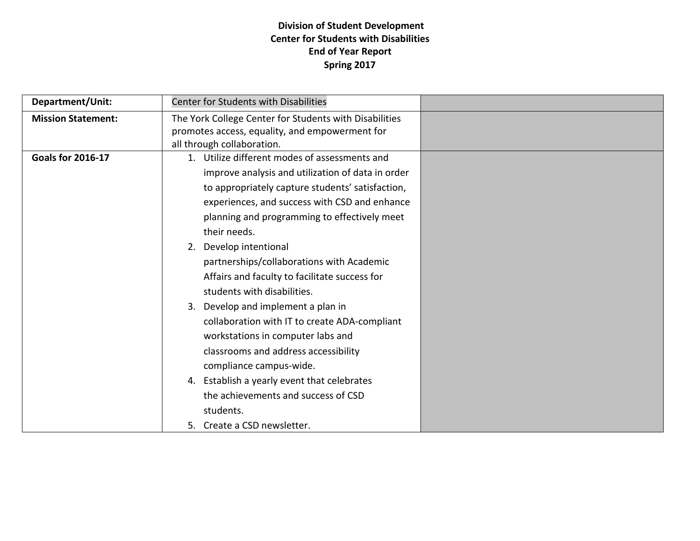# **Division of Student Development Center for Students with Disabilities End of Year Report Spring 2017**

| Department/Unit:          | <b>Center for Students with Disabilities</b>                                |  |
|---------------------------|-----------------------------------------------------------------------------|--|
| <b>Mission Statement:</b> | The York College Center for Students with Disabilities                      |  |
|                           | promotes access, equality, and empowerment for                              |  |
|                           | all through collaboration.<br>1. Utilize different modes of assessments and |  |
| <b>Goals for 2016-17</b>  |                                                                             |  |
|                           | improve analysis and utilization of data in order                           |  |
|                           | to appropriately capture students' satisfaction,                            |  |
|                           | experiences, and success with CSD and enhance                               |  |
|                           | planning and programming to effectively meet                                |  |
|                           | their needs.                                                                |  |
|                           | 2. Develop intentional                                                      |  |
|                           | partnerships/collaborations with Academic                                   |  |
|                           | Affairs and faculty to facilitate success for                               |  |
|                           | students with disabilities.                                                 |  |
|                           | 3. Develop and implement a plan in                                          |  |
|                           | collaboration with IT to create ADA-compliant                               |  |
|                           | workstations in computer labs and                                           |  |
|                           | classrooms and address accessibility                                        |  |
|                           | compliance campus-wide.                                                     |  |
|                           | 4. Establish a yearly event that celebrates                                 |  |
|                           | the achievements and success of CSD                                         |  |
|                           | students.                                                                   |  |
|                           | 5. Create a CSD newsletter.                                                 |  |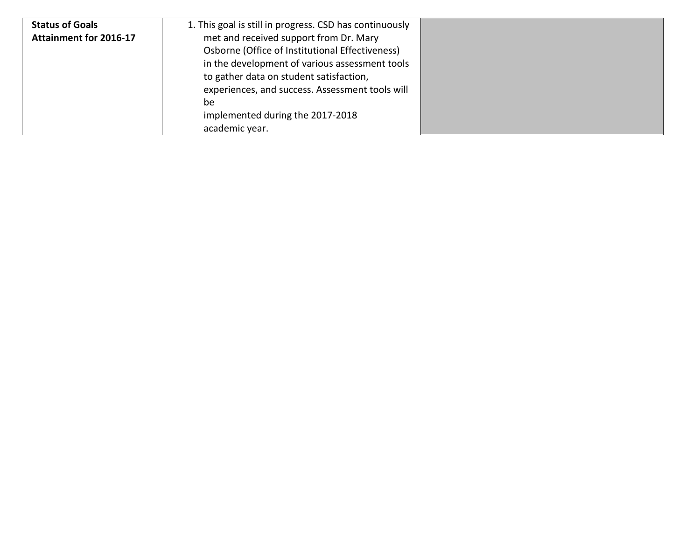| <b>Status of Goals</b>        | 1. This goal is still in progress. CSD has continuously |
|-------------------------------|---------------------------------------------------------|
| <b>Attainment for 2016-17</b> | met and received support from Dr. Mary                  |
|                               | Osborne (Office of Institutional Effectiveness)         |
|                               | in the development of various assessment tools          |
|                               | to gather data on student satisfaction,                 |
|                               | experiences, and success. Assessment tools will         |
|                               | be                                                      |
|                               | implemented during the 2017-2018                        |
|                               | academic year.                                          |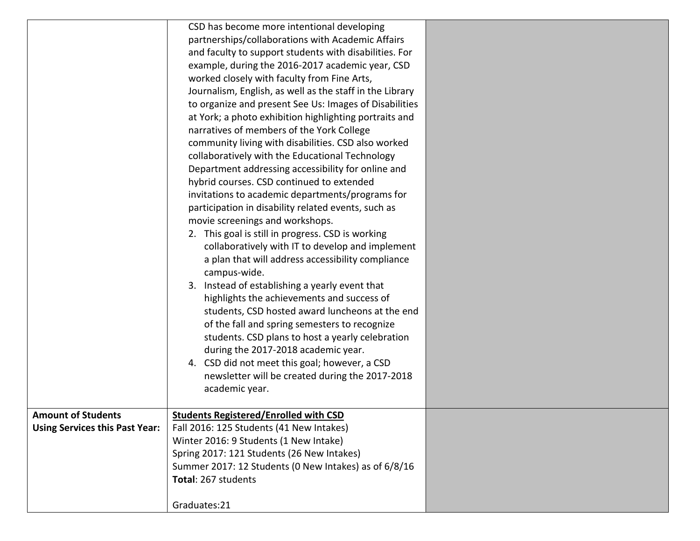|                                       | CSD has become more intentional developing               |  |
|---------------------------------------|----------------------------------------------------------|--|
|                                       | partnerships/collaborations with Academic Affairs        |  |
|                                       | and faculty to support students with disabilities. For   |  |
|                                       | example, during the 2016-2017 academic year, CSD         |  |
|                                       | worked closely with faculty from Fine Arts,              |  |
|                                       | Journalism, English, as well as the staff in the Library |  |
|                                       | to organize and present See Us: Images of Disabilities   |  |
|                                       | at York; a photo exhibition highlighting portraits and   |  |
|                                       | narratives of members of the York College                |  |
|                                       | community living with disabilities. CSD also worked      |  |
|                                       | collaboratively with the Educational Technology          |  |
|                                       | Department addressing accessibility for online and       |  |
|                                       | hybrid courses. CSD continued to extended                |  |
|                                       | invitations to academic departments/programs for         |  |
|                                       | participation in disability related events, such as      |  |
|                                       | movie screenings and workshops.                          |  |
|                                       | 2. This goal is still in progress. CSD is working        |  |
|                                       | collaboratively with IT to develop and implement         |  |
|                                       | a plan that will address accessibility compliance        |  |
|                                       | campus-wide.                                             |  |
|                                       | 3. Instead of establishing a yearly event that           |  |
|                                       | highlights the achievements and success of               |  |
|                                       | students, CSD hosted award luncheons at the end          |  |
|                                       | of the fall and spring semesters to recognize            |  |
|                                       | students. CSD plans to host a yearly celebration         |  |
|                                       | during the 2017-2018 academic year.                      |  |
|                                       | 4. CSD did not meet this goal; however, a CSD            |  |
|                                       | newsletter will be created during the 2017-2018          |  |
|                                       | academic year.                                           |  |
|                                       |                                                          |  |
| <b>Amount of Students</b>             | <b>Students Registered/Enrolled with CSD</b>             |  |
| <b>Using Services this Past Year:</b> | Fall 2016: 125 Students (41 New Intakes)                 |  |
|                                       | Winter 2016: 9 Students (1 New Intake)                   |  |
|                                       | Spring 2017: 121 Students (26 New Intakes)               |  |
|                                       | Summer 2017: 12 Students (0 New Intakes) as of 6/8/16    |  |
|                                       | Total: 267 students                                      |  |
|                                       | Graduates:21                                             |  |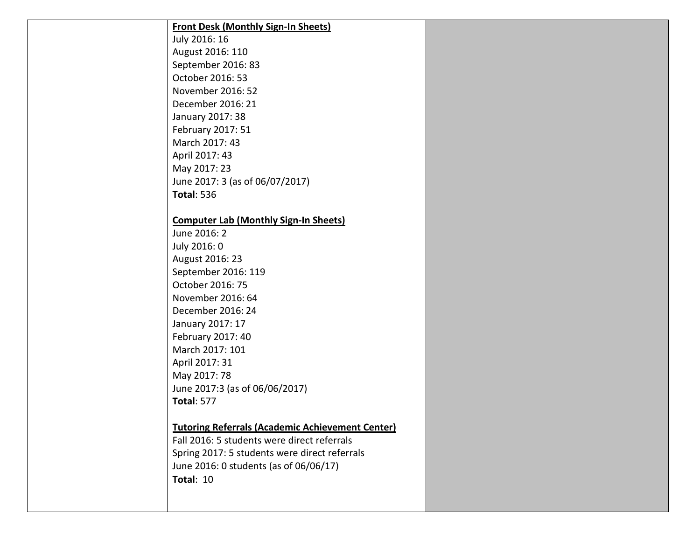| <b>Front Desk (Monthly Sign-In Sheets)</b>              |  |
|---------------------------------------------------------|--|
| July 2016: 16                                           |  |
| August 2016: 110                                        |  |
| September 2016: 83                                      |  |
| October 2016: 53                                        |  |
| November 2016: 52                                       |  |
| December 2016: 21                                       |  |
| January 2017: 38                                        |  |
| February 2017: 51                                       |  |
| March 2017: 43                                          |  |
| April 2017: 43                                          |  |
| May 2017: 23                                            |  |
| June 2017: 3 (as of 06/07/2017)                         |  |
| <b>Total: 536</b>                                       |  |
|                                                         |  |
| <b>Computer Lab (Monthly Sign-In Sheets)</b>            |  |
| June 2016: 2                                            |  |
| July 2016: 0                                            |  |
| August 2016: 23                                         |  |
| September 2016: 119                                     |  |
| October 2016: 75                                        |  |
| November 2016: 64                                       |  |
| December 2016: 24                                       |  |
| January 2017: 17                                        |  |
| February 2017: 40                                       |  |
| March 2017: 101                                         |  |
| April 2017: 31                                          |  |
| May 2017: 78                                            |  |
| June 2017:3 (as of 06/06/2017)                          |  |
| <b>Total: 577</b>                                       |  |
|                                                         |  |
| <b>Tutoring Referrals (Academic Achievement Center)</b> |  |
| Fall 2016: 5 students were direct referrals             |  |
| Spring 2017: 5 students were direct referrals           |  |
| June 2016: 0 students (as of 06/06/17)                  |  |
| Total: 10                                               |  |
|                                                         |  |
|                                                         |  |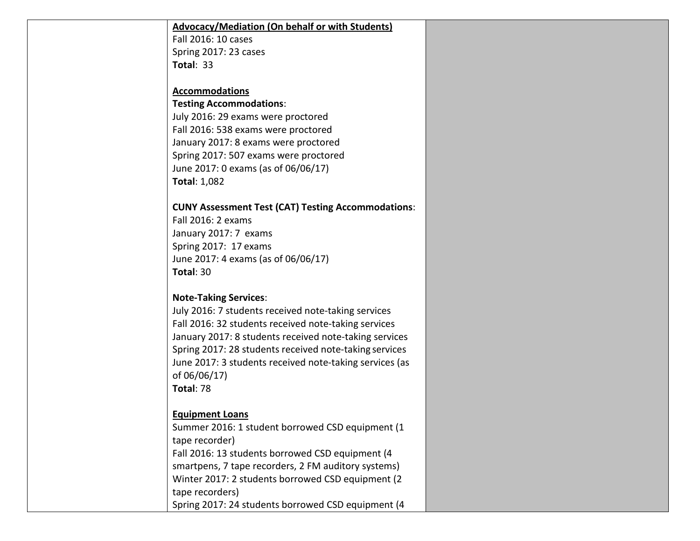#### **Advocacy/Mediation (On behalf or with Students)**

Fall 2016: 10 cases Spring 2017: 23 cases **Total**: 33

#### **Accommodations**

#### **Testing Accommodations**:

July 2016: 29 exams were proctored Fall 2016: 538 exams were proctored January 2017: 8 exams were proctored Spring 2017: 507 exams were proctored June 2017: 0 exams (as of 06/06/17) **Total**: 1,082

#### **CUNY Assessment Test (CAT) Testing Accommodations**:

Fall 2016: 2 exams January 2017: 7 exams Spring 2017: 17 exams June 2017: 4 exams (as of 06/06/17) **Total**: 30

#### **Note-Taking Services**:

July 2016: 7 students received note-taking services Fall 2016: 32 students received note-taking services January 2017: 8 students received note-taking services Spring 2017: 28 students received note-taking services June 2017: 3 students received note-taking services (as of 06/06/17) **Total**: 78

#### **Equipment Loans**

Summer 2016: 1 student borrowed CSD equipment (1 tape recorder) Fall 2016: 13 students borrowed CSD equipment (4 smartpens, 7 tape recorders, 2 FM auditory systems) Winter 2017: 2 students borrowed CSD equipment (2 tape recorders) Spring 2017: 24 students borrowed CSD equipment (4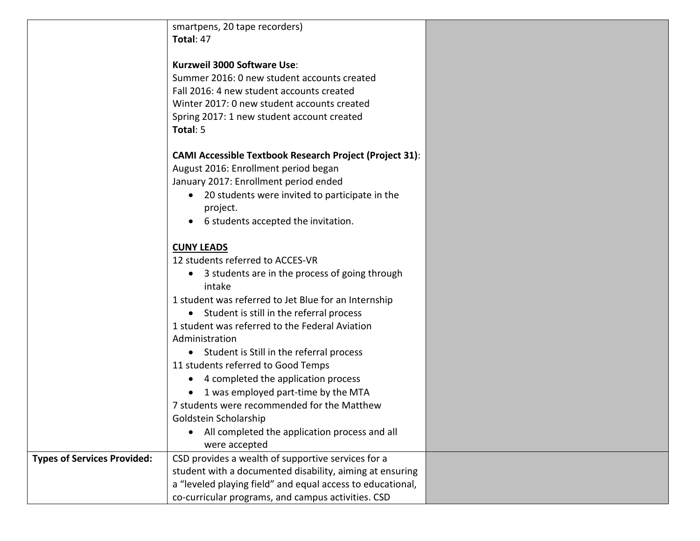smartpens, 20 tape recorders) **Total**: 47

#### **Kurzweil 3000 Software Use**:

Summer 2016: 0 new student accounts created Fall 2016: 4 new student accounts created Winter 2017: 0 new student accounts created Spring 2017: 1 new student account created **Total**: 5

### **CAMI Accessible Textbook Research Project (Project 31)**:

August 2016: Enrollment period began January 2017: Enrollment period ended

- 20 students were invited to participate in the project.
- 6 students accepted the invitation.

### **CUNY LEADS**

12 students referred to ACCES-VR

• 3 students are in the process of going through intake

1 student was referred to Jet Blue for an Internship

• Student is still in the referral process

1 student was referred to the Federal Aviation Administration

• Student is Still in the referral process

11 students referred to Good Temps

- 4 completed the application process
- 1 was employed part-time by the MTA

#### 7 students were recommended for the Matthew Goldstein Scholarship

• All completed the application process and all were accepted

co-curricular programs, and campus activities. CSD

|                                    | were accepted                                              |  |
|------------------------------------|------------------------------------------------------------|--|
| <b>Types of Services Provided:</b> | CSD provides a wealth of supportive services for a         |  |
|                                    | student with a documented disability, aiming at ensuring   |  |
|                                    | a "leveled playing field" and equal access to educational, |  |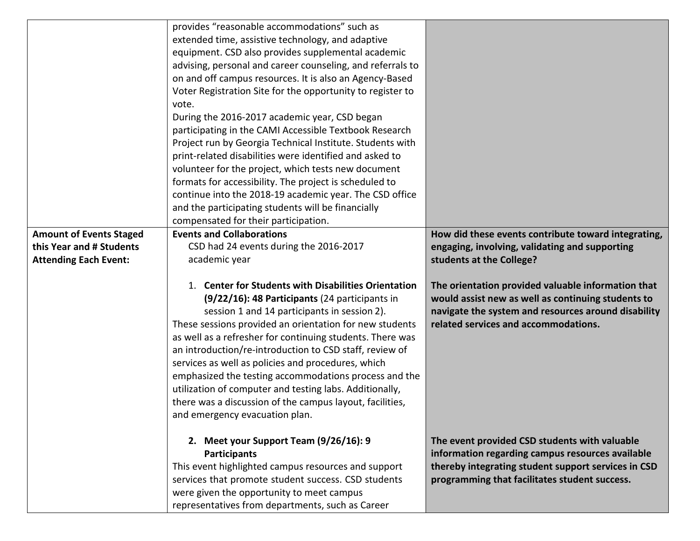|                                | provides "reasonable accommodations" such as                                                                                                                                                                                                                                                                                                                                                                                                                                                                                                                                                                      |                                                                                                                                                                                                           |
|--------------------------------|-------------------------------------------------------------------------------------------------------------------------------------------------------------------------------------------------------------------------------------------------------------------------------------------------------------------------------------------------------------------------------------------------------------------------------------------------------------------------------------------------------------------------------------------------------------------------------------------------------------------|-----------------------------------------------------------------------------------------------------------------------------------------------------------------------------------------------------------|
|                                | extended time, assistive technology, and adaptive                                                                                                                                                                                                                                                                                                                                                                                                                                                                                                                                                                 |                                                                                                                                                                                                           |
|                                | equipment. CSD also provides supplemental academic                                                                                                                                                                                                                                                                                                                                                                                                                                                                                                                                                                |                                                                                                                                                                                                           |
|                                | advising, personal and career counseling, and referrals to                                                                                                                                                                                                                                                                                                                                                                                                                                                                                                                                                        |                                                                                                                                                                                                           |
|                                | on and off campus resources. It is also an Agency-Based                                                                                                                                                                                                                                                                                                                                                                                                                                                                                                                                                           |                                                                                                                                                                                                           |
|                                | Voter Registration Site for the opportunity to register to                                                                                                                                                                                                                                                                                                                                                                                                                                                                                                                                                        |                                                                                                                                                                                                           |
|                                | vote.                                                                                                                                                                                                                                                                                                                                                                                                                                                                                                                                                                                                             |                                                                                                                                                                                                           |
|                                | During the 2016-2017 academic year, CSD began                                                                                                                                                                                                                                                                                                                                                                                                                                                                                                                                                                     |                                                                                                                                                                                                           |
|                                | participating in the CAMI Accessible Textbook Research                                                                                                                                                                                                                                                                                                                                                                                                                                                                                                                                                            |                                                                                                                                                                                                           |
|                                | Project run by Georgia Technical Institute. Students with                                                                                                                                                                                                                                                                                                                                                                                                                                                                                                                                                         |                                                                                                                                                                                                           |
|                                | print-related disabilities were identified and asked to                                                                                                                                                                                                                                                                                                                                                                                                                                                                                                                                                           |                                                                                                                                                                                                           |
|                                | volunteer for the project, which tests new document                                                                                                                                                                                                                                                                                                                                                                                                                                                                                                                                                               |                                                                                                                                                                                                           |
|                                | formats for accessibility. The project is scheduled to                                                                                                                                                                                                                                                                                                                                                                                                                                                                                                                                                            |                                                                                                                                                                                                           |
|                                | continue into the 2018-19 academic year. The CSD office                                                                                                                                                                                                                                                                                                                                                                                                                                                                                                                                                           |                                                                                                                                                                                                           |
|                                | and the participating students will be financially                                                                                                                                                                                                                                                                                                                                                                                                                                                                                                                                                                |                                                                                                                                                                                                           |
|                                | compensated for their participation.                                                                                                                                                                                                                                                                                                                                                                                                                                                                                                                                                                              |                                                                                                                                                                                                           |
| <b>Amount of Events Staged</b> | <b>Events and Collaborations</b>                                                                                                                                                                                                                                                                                                                                                                                                                                                                                                                                                                                  | How did these events contribute toward integrating,                                                                                                                                                       |
| this Year and # Students       | CSD had 24 events during the 2016-2017                                                                                                                                                                                                                                                                                                                                                                                                                                                                                                                                                                            | engaging, involving, validating and supporting                                                                                                                                                            |
| <b>Attending Each Event:</b>   | academic year                                                                                                                                                                                                                                                                                                                                                                                                                                                                                                                                                                                                     | students at the College?                                                                                                                                                                                  |
|                                | 1. Center for Students with Disabilities Orientation<br>(9/22/16): 48 Participants (24 participants in<br>session 1 and 14 participants in session 2).<br>These sessions provided an orientation for new students<br>as well as a refresher for continuing students. There was<br>an introduction/re-introduction to CSD staff, review of<br>services as well as policies and procedures, which<br>emphasized the testing accommodations process and the<br>utilization of computer and testing labs. Additionally,<br>there was a discussion of the campus layout, facilities,<br>and emergency evacuation plan. | The orientation provided valuable information that<br>would assist new as well as continuing students to<br>navigate the system and resources around disability<br>related services and accommodations.   |
|                                | 2. Meet your Support Team (9/26/16): 9<br><b>Participants</b><br>This event highlighted campus resources and support<br>services that promote student success. CSD students<br>were given the opportunity to meet campus                                                                                                                                                                                                                                                                                                                                                                                          | The event provided CSD students with valuable<br>information regarding campus resources available<br>thereby integrating student support services in CSD<br>programming that facilitates student success. |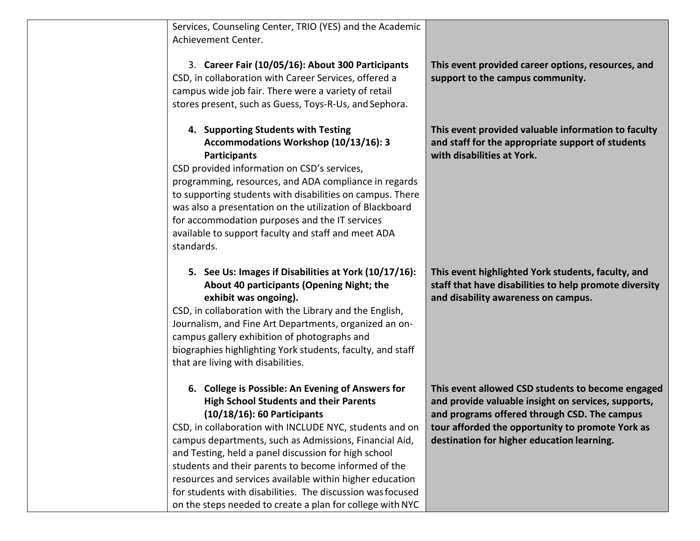Services, Counseling Center, TRIO (YES) and the Academic Achievement Center.

3. **Career Fair (10/05/16): About 300 Participants**  CSD, in collaboration with Career Services, offered a campus wide job fair. There were a variety of retail stores present, such as Guess, Toys-R-Us, and Sephora.

### **4. Supporting Students with Testing Accommodations Workshop (10/13/16): 3 Participants**

CSD provided information on CSD's services, programming, resources, and ADA compliance in regards to supporting students with disabilities on campus. There was also a presentation on the utilization of Blackboard for accommodation purposes and the IT services available to support faculty and staff and meet ADA standards.

# **5. See Us: Images if Disabilities at York (10/17/16): About 40 participants (Opening Night; the exhibit was ongoing).**

CSD, in collaboration with the Library and the English, Journalism, and Fine Art Departments, organized an oncampus gallery exhibition of photographs and biographies highlighting York students, faculty, and staff that are living with disabilities.

### **6. College is Possible: An Evening of Answers for High School Students and their Parents (10/18/16): 60 Participants**

CSD, in collaboration with INCLUDE NYC, students and on campus departments, such as Admissions, Financial Aid, and Testing, held a panel discussion for high school students and their parents to become informed of the resources and services available within higher education for students with disabilities. The discussion wasfocused on the steps needed to create a plan for college with NYC

**This event provided career options, resources, and support to the campus community.**

**This event provided valuable information to faculty and staff for the appropriate support of students with disabilities at York.**

**This event highlighted York students, faculty, and staff that have disabilities to help promote diversity and disability awareness on campus.**

**This event allowed CSD students to become engaged and provide valuable insight on services, supports, and programs offered through CSD. The campus tour afforded the opportunity to promote York as destination for higher education learning.**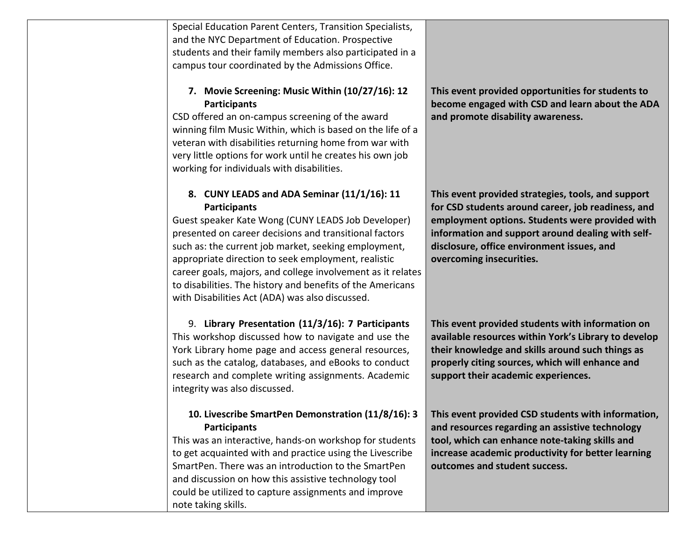Special Education Parent Centers, Transition Specialists, and the NYC Department of Education. Prospective students and their family members also participated in a campus tour coordinated by the Admissions Office.

# **7. Movie Screening: Music Within (10/27/16): 12 Participants**

CSD offered an on-campus screening of the award winning film Music Within, which is based on the life of a veteran with disabilities returning home from war with very little options for work until he creates his own job working for individuals with disabilities.

# **8. CUNY LEADS and ADA Seminar (11/1/16): 11 Participants**

Guest speaker Kate Wong (CUNY LEADS Job Developer) presented on career decisions and transitional factors such as: the current job market, seeking employment, appropriate direction to seek employment, realistic career goals, majors, and college involvement as it relates to disabilities. The history and benefits of the Americans with Disabilities Act (ADA) was also discussed.

9. **Library Presentation (11/3/16): 7 Participants**  This workshop discussed how to navigate and use the York Library home page and access general resources, such as the catalog, databases, and eBooks to conduct research and complete writing assignments. Academic integrity was also discussed.

### **10. Livescribe SmartPen Demonstration (11/8/16): 3 Participants**

This was an interactive, hands-on workshop for students to get acquainted with and practice using the Livescribe SmartPen. There was an introduction to the SmartPen and discussion on how this assistive technology tool could be utilized to capture assignments and improve note taking skills.

**This event provided opportunities for students to become engaged with CSD and learn about the ADA and promote disability awareness.**

**This event provided strategies, tools, and support for CSD students around career, job readiness, and employment options. Students were provided with information and support around dealing with selfdisclosure, office environment issues, and overcoming insecurities.**

**This event provided students with information on available resources within York's Library to develop their knowledge and skills around such things as properly citing sources, which will enhance and support their academic experiences.**

**This event provided CSD students with information, and resources regarding an assistive technology tool, which can enhance note-taking skills and increase academic productivity for better learning outcomes and student success.**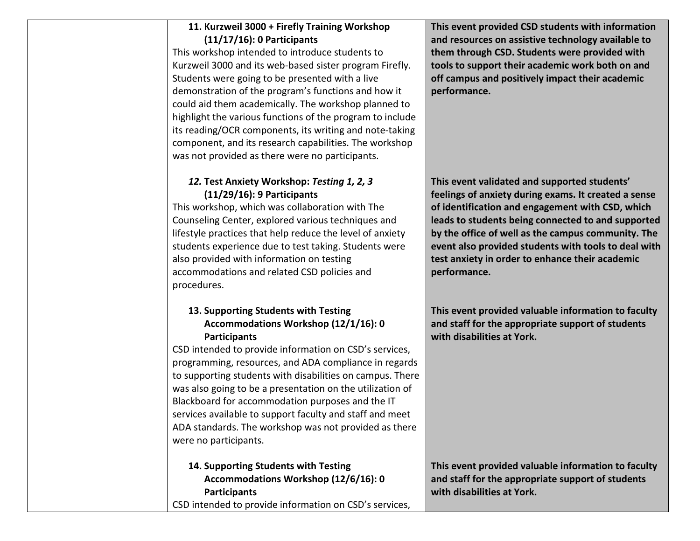### **11. Kurzweil 3000 + Firefly Training Workshop (11/17/16): 0 Participants**

This workshop intended to introduce students to Kurzweil 3000 and its web-based sister program Firefly. Students were going to be presented with a live demonstration of the program's functions and how it could aid them academically. The workshop planned to highlight the various functions of the program to include its reading/OCR components, its writing and note-taking component, and its research capabilities. The workshop was not provided as there were no participants.

# *12.* **Test Anxiety Workshop:** *Testing 1, 2, 3*  **(11/29/16): 9 Participants**

This workshop, which was collaboration with The Counseling Center, explored various techniques and lifestyle practices that help reduce the level of anxiety students experience due to test taking. Students were also provided with information on testing accommodations and related CSD policies and procedures.

### **13. Supporting Students with Testing Accommodations Workshop (12/1/16): 0 Participants**

CSD intended to provide information on CSD's services, programming, resources, and ADA compliance in regards to supporting students with disabilities on campus. There was also going to be a presentation on the utilization of Blackboard for accommodation purposes and the IT services available to support faculty and staff and meet ADA standards. The workshop was not provided as there were no participants.

**14. Supporting Students with Testing Accommodations Workshop (12/6/16): 0 Participants** CSD intended to provide information on CSD's services,

**This event provided CSD students with information and resources on assistive technology available to them through CSD. Students were provided with tools to support their academic work both on and off campus and positively impact their academic performance.**

**This event validated and supported students' feelings of anxiety during exams. It created a sense of identification and engagement with CSD, which leads to students being connected to and supported by the office of well as the campus community. The event also provided students with tools to deal with test anxiety in order to enhance their academic performance.**

**This event provided valuable information to faculty and staff for the appropriate support of students with disabilities at York.**

**This event provided valuable information to faculty and staff for the appropriate support of students with disabilities at York.**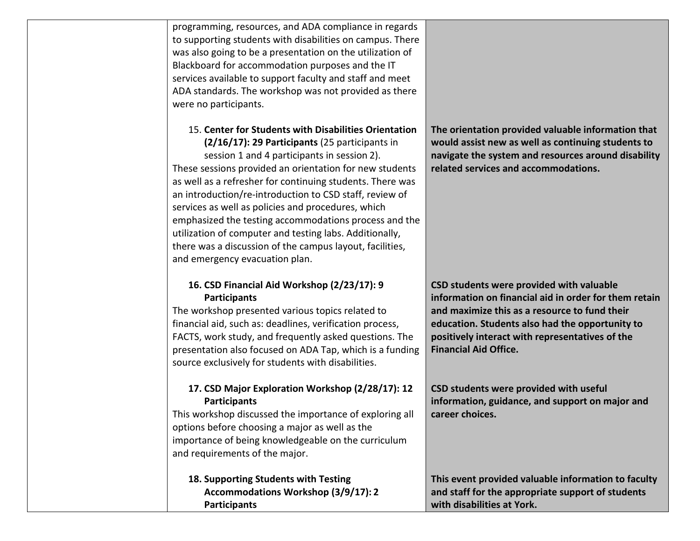programming, resources, and ADA compliance in regards to supporting students with disabilities on campus. There was also going to be a presentation on the utilization of Blackboard for accommodation purposes and the IT services available to support faculty and staff and meet ADA standards. The workshop was not provided as there were no participants.

#### 15. **Center for Students with Disabilities Orientation (2/16/17): 29 Participants** (25 participants in

session 1 and 4 participants in session 2). These sessions provided an orientation for new students as well as a refresher for continuing students. There was an introduction/re-introduction to CSD staff, review of services as well as policies and procedures, which emphasized the testing accommodations process and the utilization of computer and testing labs. Additionally, there was a discussion of the campus layout, facilities, and emergency evacuation plan.

# **16. CSD Financial Aid Workshop (2/23/17): 9 Participants**

The workshop presented various topics related to financial aid, such as: deadlines, verification process, FACTS, work study, and frequently asked questions. The presentation also focused on ADA Tap, which is a funding source exclusively for students with disabilities.

# **17. CSD Major Exploration Workshop (2/28/17): 12 Participants**

This workshop discussed the importance of exploring all options before choosing a major as well as the importance of being knowledgeable on the curriculum and requirements of the major.

### **18. Supporting Students with Testing Accommodations Workshop (3/9/17): 2 Participants**

**The orientation provided valuable information that would assist new as well as continuing students to navigate the system and resources around disability related services and accommodations.**

**CSD students were provided with valuable information on financial aid in order for them retain and maximize this as a resource to fund their education. Students also had the opportunity to positively interact with representatives of the Financial Aid Office.**

**CSD students were provided with useful information, guidance, and support on major and career choices.**

**This event provided valuable information to faculty and staff for the appropriate support of students with disabilities at York.**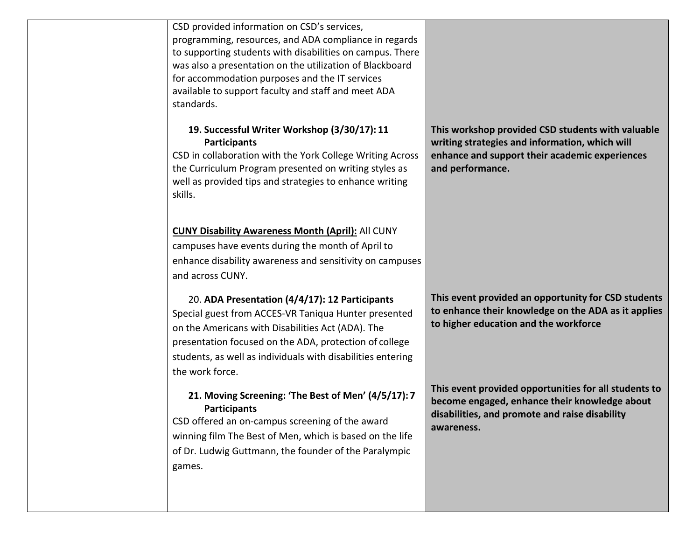| CSD provided information on CSD's services,<br>programming, resources, and ADA compliance in regards<br>to supporting students with disabilities on campus. There<br>was also a presentation on the utilization of Blackboard<br>for accommodation purposes and the IT services<br>available to support faculty and staff and meet ADA<br>standards. |                                                                                                                                                                           |
|------------------------------------------------------------------------------------------------------------------------------------------------------------------------------------------------------------------------------------------------------------------------------------------------------------------------------------------------------|---------------------------------------------------------------------------------------------------------------------------------------------------------------------------|
| 19. Successful Writer Workshop (3/30/17): 11<br><b>Participants</b><br>CSD in collaboration with the York College Writing Across<br>the Curriculum Program presented on writing styles as<br>well as provided tips and strategies to enhance writing<br>skills.                                                                                      | This workshop provided CSD students with valuable<br>writing strategies and information, which will<br>enhance and support their academic experiences<br>and performance. |
| <b>CUNY Disability Awareness Month (April): All CUNY</b><br>campuses have events during the month of April to<br>enhance disability awareness and sensitivity on campuses<br>and across CUNY.                                                                                                                                                        |                                                                                                                                                                           |
| 20. ADA Presentation (4/4/17): 12 Participants<br>Special guest from ACCES-VR Taniqua Hunter presented<br>on the Americans with Disabilities Act (ADA). The<br>presentation focused on the ADA, protection of college<br>students, as well as individuals with disabilities entering<br>the work force.                                              | This event provided an opportunity for CSD students<br>to enhance their knowledge on the ADA as it applies<br>to higher education and the workforce                       |
| 21. Moving Screening: 'The Best of Men' (4/5/17): 7<br><b>Participants</b><br>CSD offered an on-campus screening of the award<br>winning film The Best of Men, which is based on the life<br>of Dr. Ludwig Guttmann, the founder of the Paralympic<br>games.                                                                                         | This event provided opportunities for all students to<br>become engaged, enhance their knowledge about<br>disabilities, and promote and raise disability<br>awareness.    |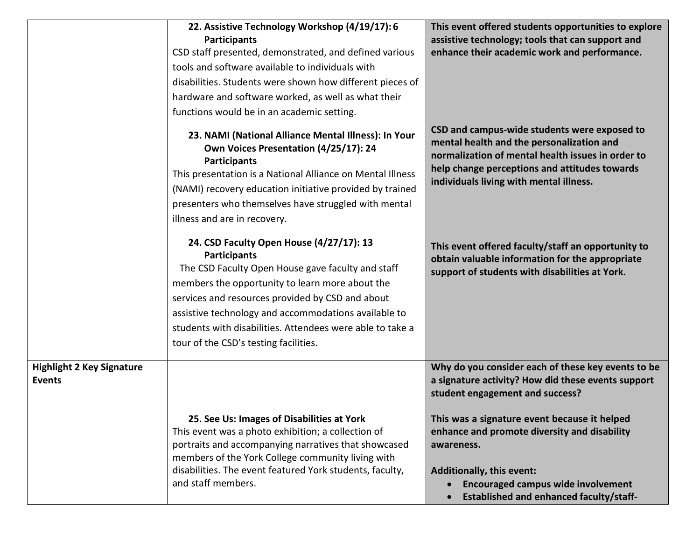|                                                   | 22. Assistive Technology Workshop (4/19/17): 6<br><b>Participants</b><br>CSD staff presented, demonstrated, and defined various<br>tools and software available to individuals with<br>disabilities. Students were shown how different pieces of<br>hardware and software worked, as well as what their<br>functions would be in an academic setting.                                     | This event offered students opportunities to explore<br>assistive technology; tools that can support and<br>enhance their academic work and performance.                                                                                   |
|---------------------------------------------------|-------------------------------------------------------------------------------------------------------------------------------------------------------------------------------------------------------------------------------------------------------------------------------------------------------------------------------------------------------------------------------------------|--------------------------------------------------------------------------------------------------------------------------------------------------------------------------------------------------------------------------------------------|
|                                                   | 23. NAMI (National Alliance Mental Illness): In Your<br>Own Voices Presentation (4/25/17): 24<br><b>Participants</b><br>This presentation is a National Alliance on Mental Illness<br>(NAMI) recovery education initiative provided by trained<br>presenters who themselves have struggled with mental<br>illness and are in recovery.                                                    | CSD and campus-wide students were exposed to<br>mental health and the personalization and<br>normalization of mental health issues in order to<br>help change perceptions and attitudes towards<br>individuals living with mental illness. |
|                                                   | 24. CSD Faculty Open House (4/27/17): 13<br><b>Participants</b><br>The CSD Faculty Open House gave faculty and staff<br>members the opportunity to learn more about the<br>services and resources provided by CSD and about<br>assistive technology and accommodations available to<br>students with disabilities. Attendees were able to take a<br>tour of the CSD's testing facilities. | This event offered faculty/staff an opportunity to<br>obtain valuable information for the appropriate<br>support of students with disabilities at York.                                                                                    |
| <b>Highlight 2 Key Signature</b><br><b>Events</b> |                                                                                                                                                                                                                                                                                                                                                                                           | Why do you consider each of these key events to be<br>a signature activity? How did these events support<br>student engagement and success?                                                                                                |
|                                                   | 25. See Us: Images of Disabilities at York<br>This event was a photo exhibition; a collection of<br>portraits and accompanying narratives that showcased<br>members of the York College community living with<br>disabilities. The event featured York students, faculty,<br>and staff members.                                                                                           | This was a signature event because it helped<br>enhance and promote diversity and disability<br>awareness.<br>Additionally, this event:<br><b>Encouraged campus wide involvement</b><br><b>Established and enhanced faculty/staff-</b>     |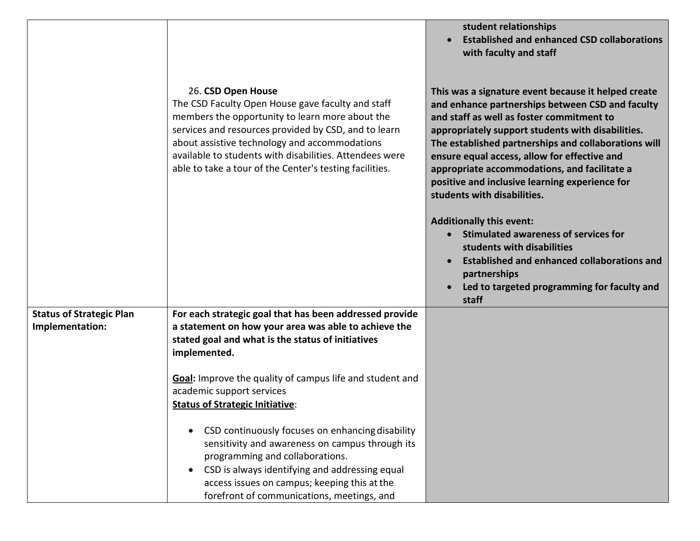|                                                    |                                                                                                                                                                                                                                                                                                                                                           | student relationships<br><b>Established and enhanced CSD collaborations</b><br>with faculty and staff                                                                                                                                                                                                                                                                                                                                              |
|----------------------------------------------------|-----------------------------------------------------------------------------------------------------------------------------------------------------------------------------------------------------------------------------------------------------------------------------------------------------------------------------------------------------------|----------------------------------------------------------------------------------------------------------------------------------------------------------------------------------------------------------------------------------------------------------------------------------------------------------------------------------------------------------------------------------------------------------------------------------------------------|
|                                                    | 26. CSD Open House<br>The CSD Faculty Open House gave faculty and staff<br>members the opportunity to learn more about the<br>services and resources provided by CSD, and to learn<br>about assistive technology and accommodations<br>available to students with disabilities. Attendees were<br>able to take a tour of the Center's testing facilities. | This was a signature event because it helped create<br>and enhance partnerships between CSD and faculty<br>and staff as well as foster commitment to<br>appropriately support students with disabilities.<br>The established partnerships and collaborations will<br>ensure equal access, allow for effective and<br>appropriate accommodations, and facilitate a<br>positive and inclusive learning experience for<br>students with disabilities. |
|                                                    |                                                                                                                                                                                                                                                                                                                                                           | <b>Additionally this event:</b><br>Stimulated awareness of services for<br>students with disabilities<br><b>Established and enhanced collaborations and</b><br>partnerships<br>Led to targeted programming for faculty and<br>staff                                                                                                                                                                                                                |
| <b>Status of Strategic Plan</b><br>Implementation: | For each strategic goal that has been addressed provide<br>a statement on how your area was able to achieve the<br>stated goal and what is the status of initiatives<br>implemented.                                                                                                                                                                      |                                                                                                                                                                                                                                                                                                                                                                                                                                                    |
|                                                    | Goal: Improve the quality of campus life and student and<br>academic support services<br><b>Status of Strategic Initiative:</b>                                                                                                                                                                                                                           |                                                                                                                                                                                                                                                                                                                                                                                                                                                    |
|                                                    | CSD continuously focuses on enhancing disability<br>sensitivity and awareness on campus through its<br>programming and collaborations.<br>CSD is always identifying and addressing equal<br>access issues on campus; keeping this at the<br>forefront of communications, meetings, and                                                                    |                                                                                                                                                                                                                                                                                                                                                                                                                                                    |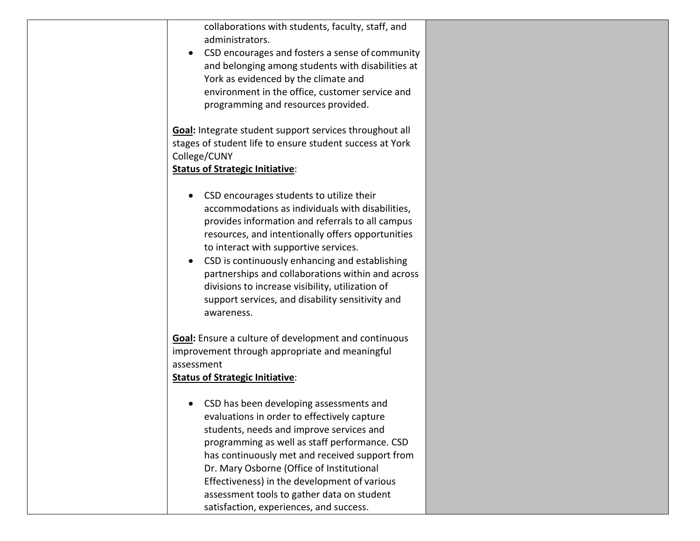| collaborations with students, faculty, staff, and           |
|-------------------------------------------------------------|
| administrators.                                             |
| CSD encourages and fosters a sense of community             |
| and belonging among students with disabilities at           |
| York as evidenced by the climate and                        |
| environment in the office, customer service and             |
| programming and resources provided.                         |
|                                                             |
| Goal: Integrate student support services throughout all     |
| stages of student life to ensure student success at York    |
| College/CUNY                                                |
| <b>Status of Strategic Initiative:</b>                      |
|                                                             |
| CSD encourages students to utilize their                    |
| accommodations as individuals with disabilities,            |
| provides information and referrals to all campus            |
| resources, and intentionally offers opportunities           |
| to interact with supportive services.                       |
| CSD is continuously enhancing and establishing<br>$\bullet$ |
| partnerships and collaborations within and across           |
| divisions to increase visibility, utilization of            |
| support services, and disability sensitivity and            |
| awareness.                                                  |
|                                                             |
| <b>Goal:</b> Ensure a culture of development and continuous |
| improvement through appropriate and meaningful              |
| assessment                                                  |
| <b>Status of Strategic Initiative:</b>                      |
|                                                             |
| CSD has been developing assessments and                     |
| evaluations in order to effectively capture                 |
| students, needs and improve services and                    |
| programming as well as staff performance. CSD               |
| has continuously met and received support from              |
| Dr. Mary Osborne (Office of Institutional                   |
| Effectiveness) in the development of various                |
| assessment tools to gather data on student                  |
| satisfaction, experiences, and success.                     |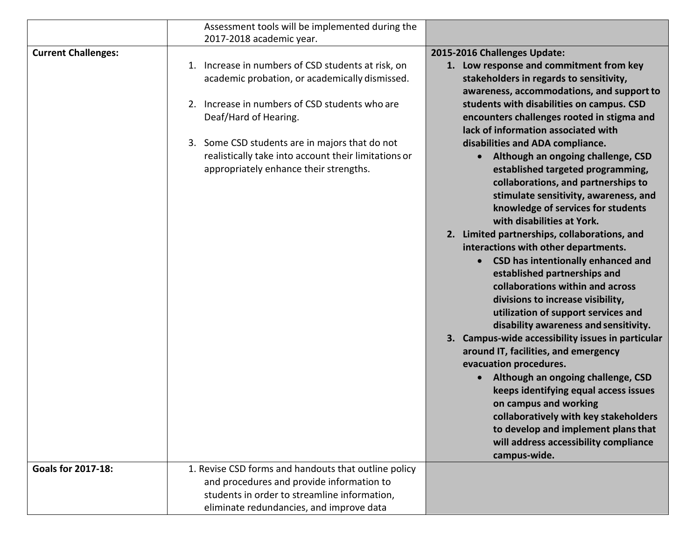|                            | Assessment tools will be implemented during the                                                |                                                                                           |
|----------------------------|------------------------------------------------------------------------------------------------|-------------------------------------------------------------------------------------------|
|                            | 2017-2018 academic year.                                                                       |                                                                                           |
| <b>Current Challenges:</b> |                                                                                                | 2015-2016 Challenges Update:                                                              |
|                            | Increase in numbers of CSD students at risk, on<br>1.                                          | 1. Low response and commitment from key                                                   |
|                            | academic probation, or academically dismissed.                                                 | stakeholders in regards to sensitivity,                                                   |
|                            |                                                                                                | awareness, accommodations, and support to                                                 |
|                            | Increase in numbers of CSD students who are<br>2.                                              | students with disabilities on campus. CSD                                                 |
|                            | Deaf/Hard of Hearing.                                                                          | encounters challenges rooted in stigma and                                                |
|                            |                                                                                                | lack of information associated with                                                       |
|                            | 3. Some CSD students are in majors that do not                                                 | disabilities and ADA compliance.                                                          |
|                            | realistically take into account their limitations or<br>appropriately enhance their strengths. | Although an ongoing challenge, CSD                                                        |
|                            |                                                                                                | established targeted programming,<br>collaborations, and partnerships to                  |
|                            |                                                                                                | stimulate sensitivity, awareness, and                                                     |
|                            |                                                                                                | knowledge of services for students                                                        |
|                            |                                                                                                | with disabilities at York.                                                                |
|                            |                                                                                                | 2. Limited partnerships, collaborations, and                                              |
|                            |                                                                                                | interactions with other departments.                                                      |
|                            |                                                                                                | <b>CSD has intentionally enhanced and</b>                                                 |
|                            |                                                                                                | established partnerships and                                                              |
|                            |                                                                                                | collaborations within and across                                                          |
|                            |                                                                                                | divisions to increase visibility,                                                         |
|                            |                                                                                                | utilization of support services and                                                       |
|                            |                                                                                                | disability awareness and sensitivity.                                                     |
|                            |                                                                                                | 3. Campus-wide accessibility issues in particular<br>around IT, facilities, and emergency |
|                            |                                                                                                | evacuation procedures.                                                                    |
|                            |                                                                                                | Although an ongoing challenge, CSD                                                        |
|                            |                                                                                                | keeps identifying equal access issues                                                     |
|                            |                                                                                                | on campus and working                                                                     |
|                            |                                                                                                | collaboratively with key stakeholders                                                     |
|                            |                                                                                                | to develop and implement plans that                                                       |
|                            |                                                                                                | will address accessibility compliance                                                     |
|                            |                                                                                                | campus-wide.                                                                              |
| <b>Goals for 2017-18:</b>  | 1. Revise CSD forms and handouts that outline policy                                           |                                                                                           |
|                            | and procedures and provide information to                                                      |                                                                                           |
|                            | students in order to streamline information,                                                   |                                                                                           |
|                            | eliminate redundancies, and improve data                                                       |                                                                                           |